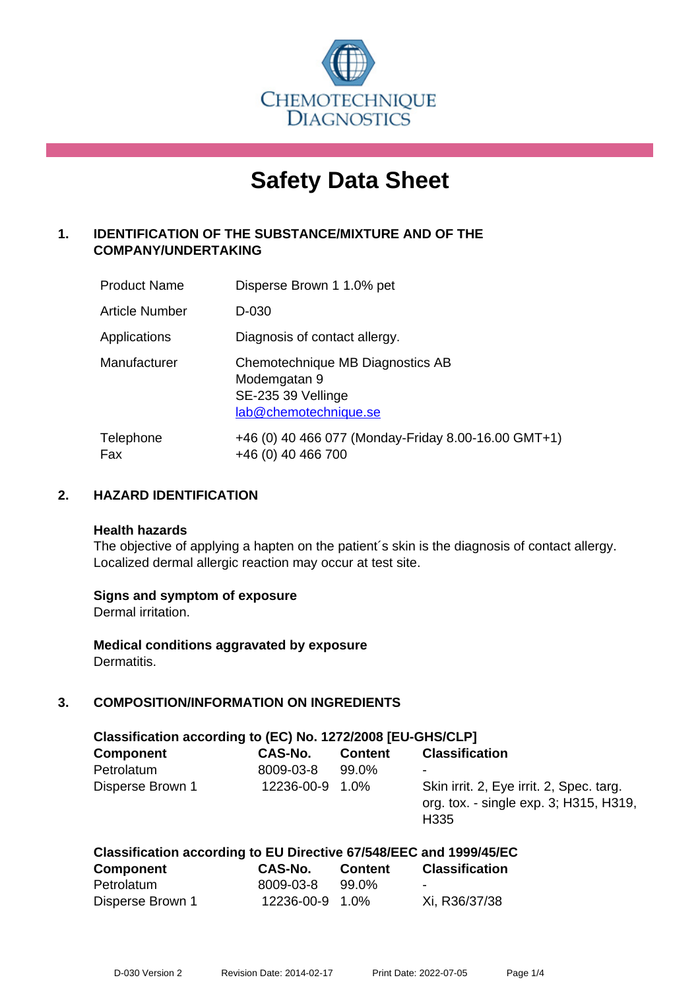

# **Safety Data Sheet**

# **1. IDENTIFICATION OF THE SUBSTANCE/MIXTURE AND OF THE COMPANY/UNDERTAKING**

| <b>Product Name</b> | Disperse Brown 1 1.0% pet                                                                       |
|---------------------|-------------------------------------------------------------------------------------------------|
| Article Number      | D-030                                                                                           |
| Applications        | Diagnosis of contact allergy.                                                                   |
| Manufacturer        | Chemotechnique MB Diagnostics AB<br>Modemgatan 9<br>SE-235 39 Vellinge<br>lab@chemotechnique.se |
| Telephone<br>Fax    | +46 (0) 40 466 077 (Monday-Friday 8.00-16.00 GMT+1)<br>+46 (0) 40 466 700                       |

#### **2. HAZARD IDENTIFICATION**

#### **Health hazards**

The objective of applying a hapten on the patient's skin is the diagnosis of contact allergy. Localized dermal allergic reaction may occur at test site.

#### **Signs and symptom of exposure**

Dermal irritation.

**Medical conditions aggravated by exposure** Dermatitis.

# **3. COMPOSITION/INFORMATION ON INGREDIENTS**

| Classification according to (EC) No. 1272/2008 [EU-GHS/CLP] |            |                |                                                                                                        |  |  |
|-------------------------------------------------------------|------------|----------------|--------------------------------------------------------------------------------------------------------|--|--|
| <b>Component</b>                                            | CAS-No.    | <b>Content</b> | <b>Classification</b>                                                                                  |  |  |
| Petrolatum                                                  | 8009-03-8  | 99.0%          | $\overline{\phantom{a}}$                                                                               |  |  |
| Disperse Brown 1                                            | 12236-00-9 | 1.0%           | Skin irrit. 2, Eye irrit. 2, Spec. targ.<br>org. tox. - single exp. 3; H315, H319,<br>H <sub>335</sub> |  |  |

# **Classification according to EU Directive 67/548/EEC and 1999/45/EC**

| <b>Component</b> | CAS-No.         | Content | <b>Classification</b> |
|------------------|-----------------|---------|-----------------------|
| Petrolatum       | 8009-03-8       | 99.0%   | -                     |
| Disperse Brown 1 | 12236-00-9 1.0% |         | Xi, R36/37/38         |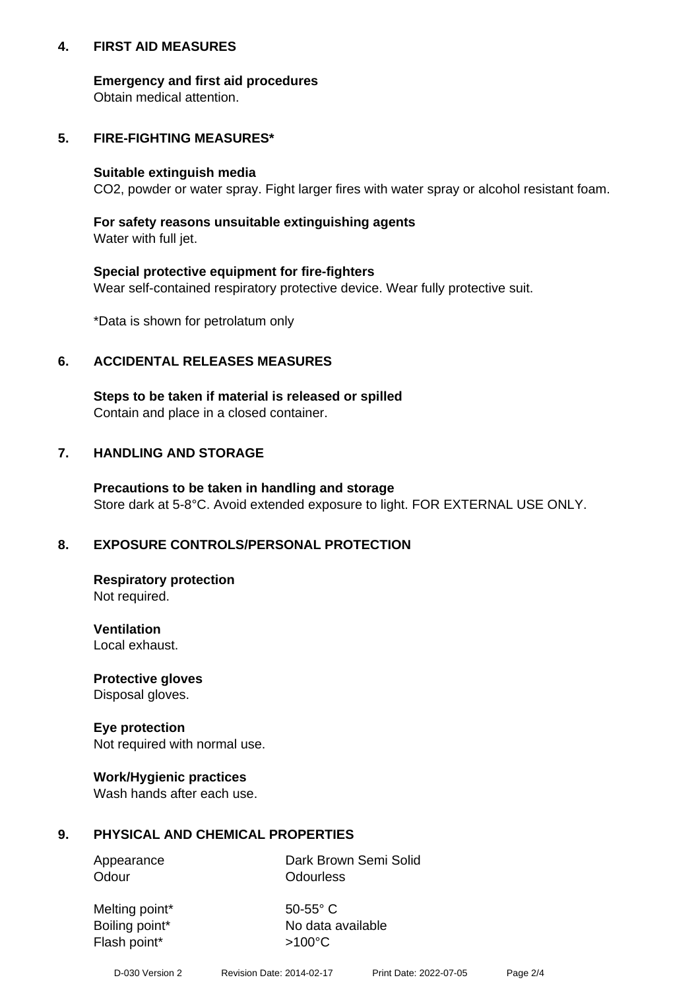#### **4. FIRST AID MEASURES**

#### **Emergency and first aid procedures**

Obtain medical attention.

# **5. FIRE-FIGHTING MEASURES\***

#### **Suitable extinguish media**

CO2, powder or water spray. Fight larger fires with water spray or alcohol resistant foam.

# **For safety reasons unsuitable extinguishing agents**

Water with full jet.

#### **Special protective equipment for fire-fighters**

Wear self-contained respiratory protective device. Wear fully protective suit.

\*Data is shown for petrolatum only

### **6. ACCIDENTAL RELEASES MEASURES**

**Steps to be taken if material is released or spilled** Contain and place in a closed container.

# **7. HANDLING AND STORAGE**

**Precautions to be taken in handling and storage** Store dark at 5-8°C. Avoid extended exposure to light. FOR EXTERNAL USE ONLY.

# **8. EXPOSURE CONTROLS/PERSONAL PROTECTION**

**Respiratory protection** Not required.

**Ventilation** Local exhaust.

**Protective gloves** Disposal gloves.

#### **Eye protection** Not required with normal use.

#### **Work/Hygienic practices**

Wash hands after each use.

#### **9. PHYSICAL AND CHEMICAL PROPERTIES**

Odour **Odourless** 

Appearance Dark Brown Semi Solid

Melting point\* 50-55° C Flash point\*  $>100^{\circ}$ C

Boiling point\* No data available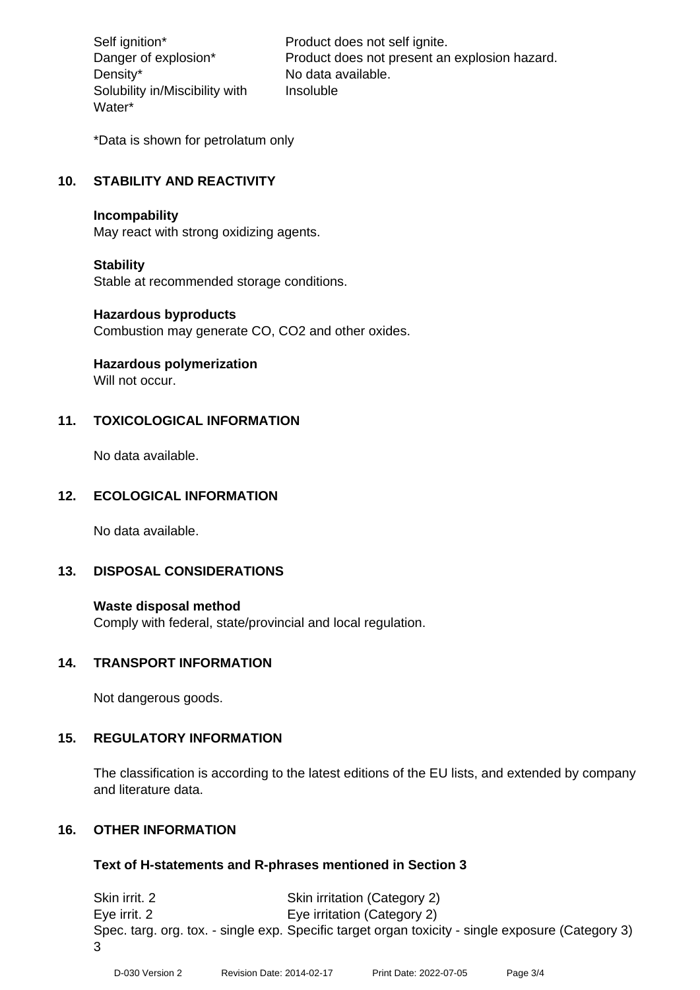Density\* No data available. Solubility in/Miscibility with Water\*

Self ignition\* Product does not self ignite. Danger of explosion\* Product does not present an explosion hazard. Insoluble

\*Data is shown for petrolatum only

# **10. STABILITY AND REACTIVITY**

#### **Incompability**

May react with strong oxidizing agents.

#### **Stability**

Stable at recommended storage conditions.

#### **Hazardous byproducts**

Combustion may generate CO, CO2 and other oxides.

**Hazardous polymerization**

Will not occur.

#### **11. TOXICOLOGICAL INFORMATION**

No data available.

#### **12. ECOLOGICAL INFORMATION**

No data available.

#### **13. DISPOSAL CONSIDERATIONS**

#### **Waste disposal method**

Comply with federal, state/provincial and local regulation.

#### **14. TRANSPORT INFORMATION**

Not dangerous goods.

#### **15. REGULATORY INFORMATION**

The classification is according to the latest editions of the EU lists, and extended by company and literature data.

#### **16. OTHER INFORMATION**

#### **Text of H-statements and R-phrases mentioned in Section 3**

Skin irrit. 2 Skin irritation (Category 2) Eye irrit. 2 Eye irritation (Category 2) Spec. targ. org. tox. - single exp. Specific target organ toxicity - single exposure (Category 3) 3